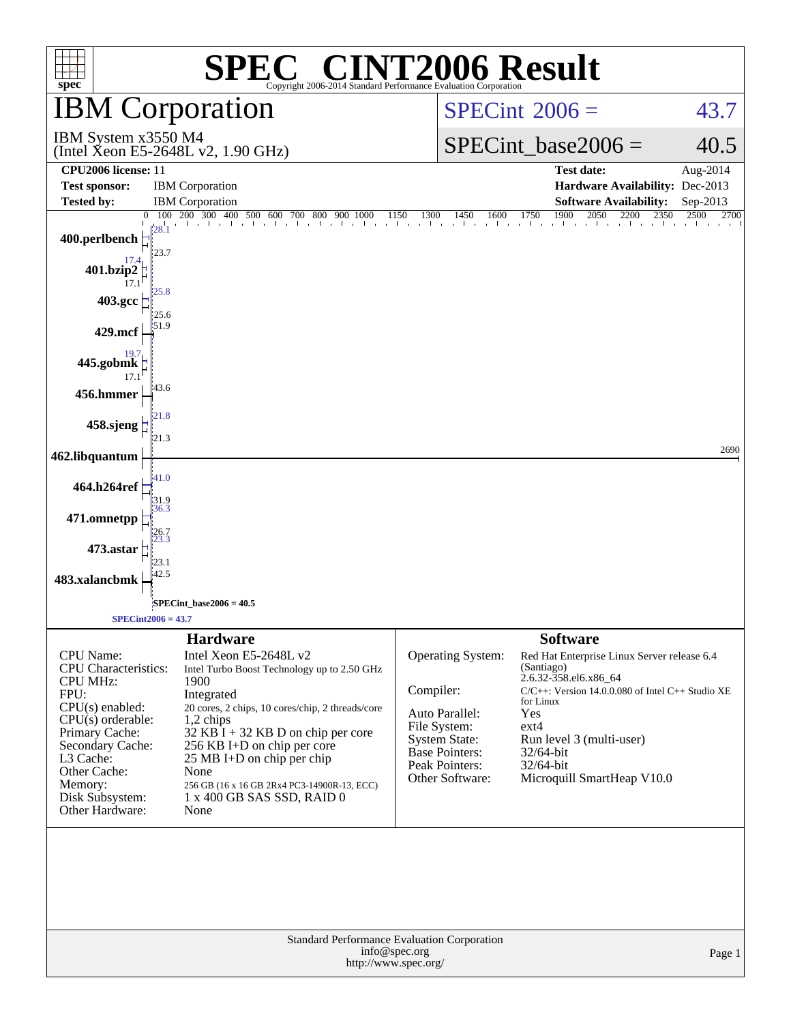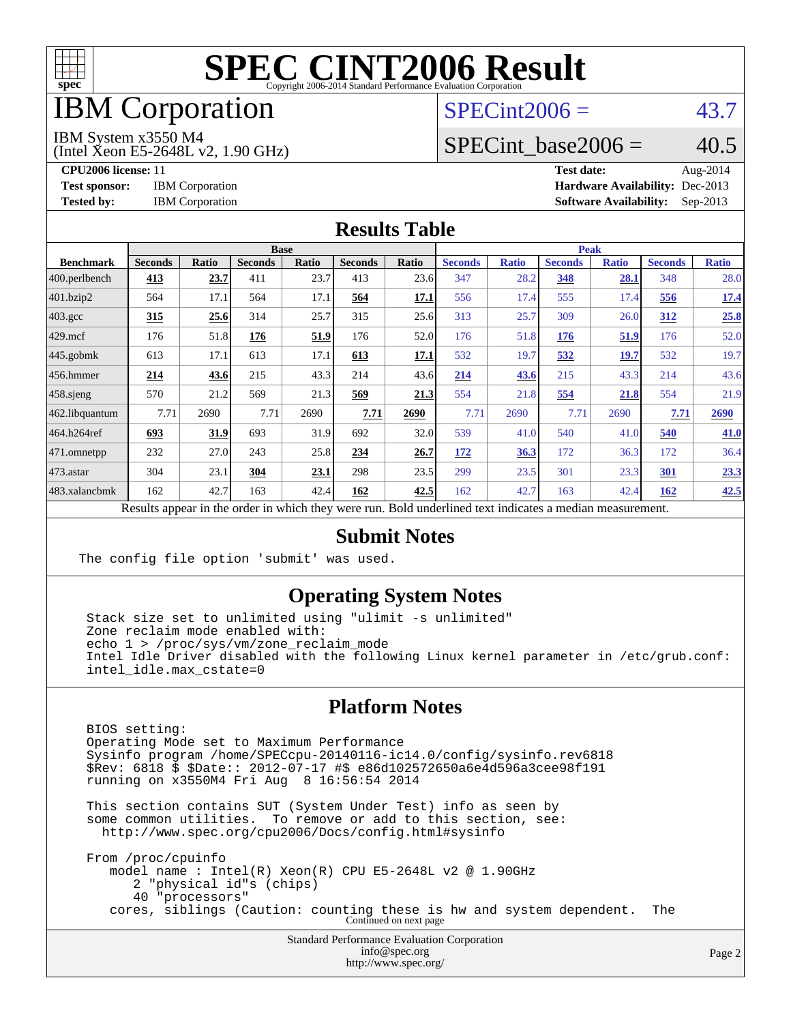

### IBM Corporation

### $SPECint2006 = 43.7$  $SPECint2006 = 43.7$

IBM System x3550 M4

(Intel Xeon E5-2648L v2, 1.90 GHz)

SPECint base2006 =  $40.5$ 

**[CPU2006 license:](http://www.spec.org/auto/cpu2006/Docs/result-fields.html#CPU2006license)** 11 **[Test date:](http://www.spec.org/auto/cpu2006/Docs/result-fields.html#Testdate)** Aug-2014 **[Test sponsor:](http://www.spec.org/auto/cpu2006/Docs/result-fields.html#Testsponsor)** IBM Corporation **[Hardware Availability:](http://www.spec.org/auto/cpu2006/Docs/result-fields.html#HardwareAvailability)** Dec-2013 **[Tested by:](http://www.spec.org/auto/cpu2006/Docs/result-fields.html#Testedby)** IBM Corporation **[Software Availability:](http://www.spec.org/auto/cpu2006/Docs/result-fields.html#SoftwareAvailability)** Sep-2013

#### **[Results Table](http://www.spec.org/auto/cpu2006/Docs/result-fields.html#ResultsTable)**

|                                                                                                          | <b>Base</b>    |       |                |       |                |       | <b>Peak</b>    |              |                |              |                |              |
|----------------------------------------------------------------------------------------------------------|----------------|-------|----------------|-------|----------------|-------|----------------|--------------|----------------|--------------|----------------|--------------|
| <b>Benchmark</b>                                                                                         | <b>Seconds</b> | Ratio | <b>Seconds</b> | Ratio | <b>Seconds</b> | Ratio | <b>Seconds</b> | <b>Ratio</b> | <b>Seconds</b> | <b>Ratio</b> | <b>Seconds</b> | <b>Ratio</b> |
| $ 400.\text{perlbench}$                                                                                  | 413            | 23.7  | 411            | 23.7  | 413            | 23.6  | 347            | 28.2         | 348            | 28.1         | 348            | 28.0         |
| 401.bzip2                                                                                                | 564            | 17.1  | 564            | 17.1  | 564            | 17.1  | 556            | 17.4         | 555            | 17.4         | 556            | <u>17.4</u>  |
| $403.\text{gcc}$                                                                                         | 315            | 25.6  | 314            | 25.7  | 315            | 25.6  | 313            | 25.7         | 309            | 26.0         | 312            | 25.8         |
| $429$ mcf                                                                                                | 176            | 51.8  | 176            | 51.9  | 176            | 52.0  | 176            | 51.8         | 176            | 51.9         | 176            | 52.0         |
| $445$ .gobmk                                                                                             | 613            | 17.1  | 613            | 17.1  | 613            | 17.1  | 532            | 19.7         | 532            | 19.7         | 532            | 19.7         |
| $456.$ hmmer                                                                                             | 214            | 43.6  | 215            | 43.3  | 214            | 43.6  | 214            | 43.6         | 215            | 43.3         | 214            | 43.6         |
| $458$ .sjeng                                                                                             | 570            | 21.2  | 569            | 21.3  | 569            | 21.3  | 554            | 21.8         | 554            | 21.8         | 554            | 21.9         |
| 462.libquantum                                                                                           | 7.71           | 2690  | 7.71           | 2690  | 7.71           | 2690  | 7.71           | 2690         | 7.71           | 2690         | 7.71           | 2690         |
| 464.h264ref                                                                                              | 693            | 31.9  | 693            | 31.9  | 692            | 32.0  | 539            | 41.0         | 540            | 41.0         | 540            | 41.0         |
| 471.omnetpp                                                                                              | 232            | 27.0  | 243            | 25.8  | 234            | 26.7  | 172            | 36.3         | 172            | 36.3         | 172            | 36.4         |
| $473$ . astar                                                                                            | 304            | 23.1  | 304            | 23.1  | 298            | 23.5  | 299            | 23.5         | 301            | 23.3         | 301            | 23.3         |
| 483.xalancbmk                                                                                            | 162            | 42.7  | 163            | 42.4  | 162            | 42.5  | 162            | 42.7         | 163            | 42.4         | 162            | 42.5         |
| Results appear in the order in which they were run. Bold underlined text indicates a median measurement. |                |       |                |       |                |       |                |              |                |              |                |              |

#### **[Submit Notes](http://www.spec.org/auto/cpu2006/Docs/result-fields.html#SubmitNotes)**

The config file option 'submit' was used.

#### **[Operating System Notes](http://www.spec.org/auto/cpu2006/Docs/result-fields.html#OperatingSystemNotes)**

 Stack size set to unlimited using "ulimit -s unlimited" Zone reclaim mode enabled with: echo 1 > /proc/sys/vm/zone reclaim mode Intel Idle Driver disabled with the following Linux kernel parameter in /etc/grub.conf: intel\_idle.max\_cstate=0

#### **[Platform Notes](http://www.spec.org/auto/cpu2006/Docs/result-fields.html#PlatformNotes)**

 BIOS setting: Operating Mode set to Maximum Performance Sysinfo program /home/SPECcpu-20140116-ic14.0/config/sysinfo.rev6818 \$Rev: 6818 \$ \$Date:: 2012-07-17 #\$ e86d102572650a6e4d596a3cee98f191 running on x3550M4 Fri Aug 8 16:56:54 2014

 This section contains SUT (System Under Test) info as seen by some common utilities. To remove or add to this section, see: <http://www.spec.org/cpu2006/Docs/config.html#sysinfo>

 From /proc/cpuinfo model name : Intel(R) Xeon(R) CPU E5-2648L v2 @ 1.90GHz 2 "physical id"s (chips) 40 "processors" cores, siblings (Caution: counting these is hw and system dependent. The Continued on next page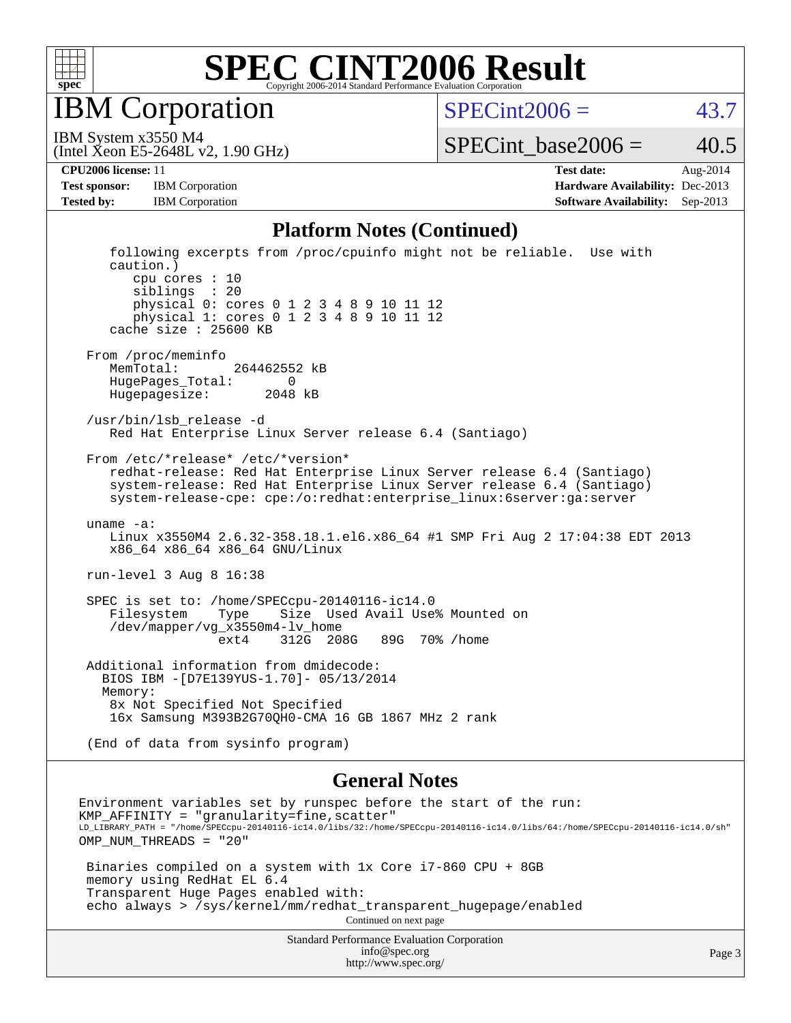

IBM Corporation

 $SPECint2006 = 43.7$  $SPECint2006 = 43.7$ 

(Intel Xeon E5-2648L v2, 1.90 GHz) IBM System x3550 M4

SPECint base2006 =  $40.5$ 

**[CPU2006 license:](http://www.spec.org/auto/cpu2006/Docs/result-fields.html#CPU2006license)** 11 **[Test date:](http://www.spec.org/auto/cpu2006/Docs/result-fields.html#Testdate)** Aug-2014 **[Test sponsor:](http://www.spec.org/auto/cpu2006/Docs/result-fields.html#Testsponsor)** IBM Corporation **[Hardware Availability:](http://www.spec.org/auto/cpu2006/Docs/result-fields.html#HardwareAvailability)** Dec-2013 **[Tested by:](http://www.spec.org/auto/cpu2006/Docs/result-fields.html#Testedby)** IBM Corporation **[Software Availability:](http://www.spec.org/auto/cpu2006/Docs/result-fields.html#SoftwareAvailability)** Sep-2013

#### **[Platform Notes \(Continued\)](http://www.spec.org/auto/cpu2006/Docs/result-fields.html#PlatformNotes)**

 following excerpts from /proc/cpuinfo might not be reliable. Use with caution.) cpu cores : 10 siblings : 20 physical 0: cores 0 1 2 3 4 8 9 10 11 12 physical 1: cores 0 1 2 3 4 8 9 10 11 12 cache size : 25600 KB From /proc/meminfo MemTotal: 264462552 kB HugePages\_Total: 0 Hugepagesize: 2048 kB /usr/bin/lsb\_release -d Red Hat Enterprise Linux Server release 6.4 (Santiago) From /etc/\*release\* /etc/\*version\* redhat-release: Red Hat Enterprise Linux Server release 6.4 (Santiago) system-release: Red Hat Enterprise Linux Server release 6.4 (Santiago) system-release-cpe: cpe:/o:redhat:enterprise\_linux:6server:ga:server uname -a: Linux x3550M4 2.6.32-358.18.1.el6.x86\_64 #1 SMP Fri Aug 2 17:04:38 EDT 2013 x86\_64 x86\_64 x86\_64 GNU/Linux run-level 3 Aug 8 16:38 SPEC is set to: /home/SPECcpu-20140116-ic14.0 Filesystem Type Size Used Avail Use% Mounted on /dev/mapper/vg\_x3550m4-lv\_home ext4 312G 208G 89G 70% /home Additional information from dmidecode: BIOS IBM -[D7E139YUS-1.70]- 05/13/2014 Memory: 8x Not Specified Not Specified 16x Samsung M393B2G70QH0-CMA 16 GB 1867 MHz 2 rank (End of data from sysinfo program)

#### **[General Notes](http://www.spec.org/auto/cpu2006/Docs/result-fields.html#GeneralNotes)**

Environment variables set by runspec before the start of the run: KMP  $AFFINITY = "granularity=fine, scatter"$ LD\_LIBRARY\_PATH = "/home/SPECcpu-20140116-ic14.0/libs/32:/home/SPECcpu-20140116-ic14.0/libs/64:/home/SPECcpu-20140116-ic14.0/sh" OMP NUM THREADS = "20" Binaries compiled on a system with 1x Core i7-860 CPU + 8GB memory using RedHat EL 6.4 Transparent Huge Pages enabled with: echo always > /sys/kernel/mm/redhat\_transparent\_hugepage/enabled Continued on next page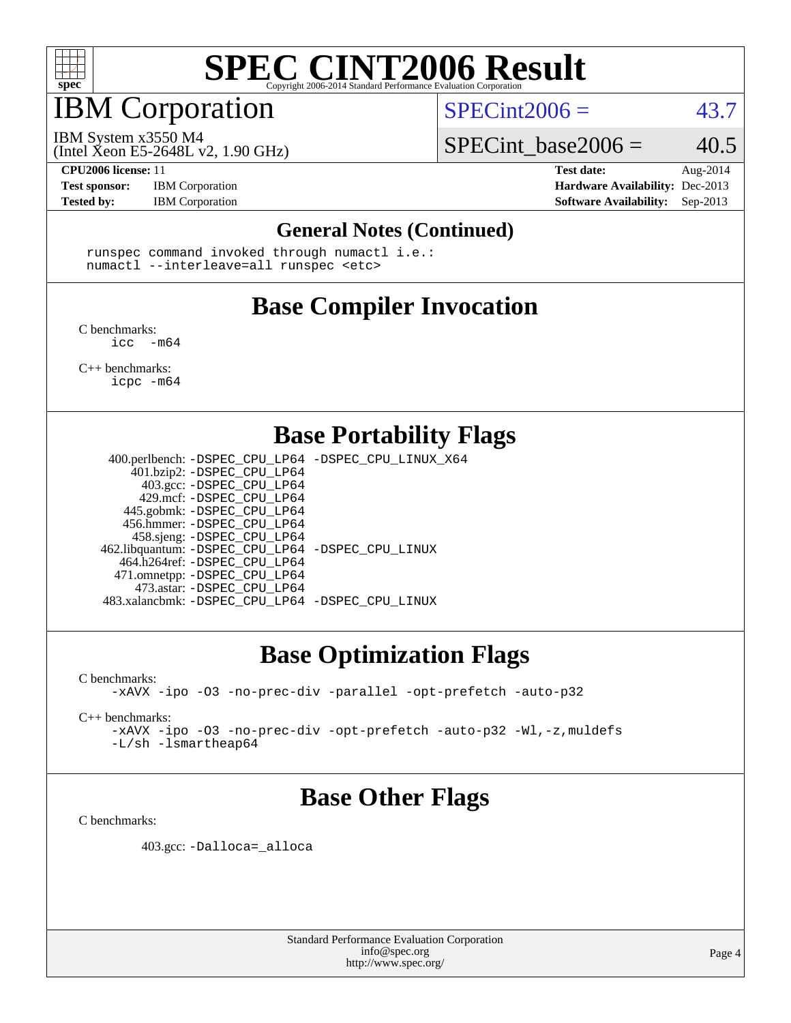

### IBM Corporation

 $SPECint2006 = 43.7$  $SPECint2006 = 43.7$ 

(Intel Xeon E5-2648L v2, 1.90 GHz) IBM System x3550 M4

SPECint base2006 =  $40.5$ 

**[CPU2006 license:](http://www.spec.org/auto/cpu2006/Docs/result-fields.html#CPU2006license)** 11 **[Test date:](http://www.spec.org/auto/cpu2006/Docs/result-fields.html#Testdate)** Aug-2014 **[Test sponsor:](http://www.spec.org/auto/cpu2006/Docs/result-fields.html#Testsponsor)** IBM Corporation **[Hardware Availability:](http://www.spec.org/auto/cpu2006/Docs/result-fields.html#HardwareAvailability)** Dec-2013 **[Tested by:](http://www.spec.org/auto/cpu2006/Docs/result-fields.html#Testedby)** IBM Corporation **[Software Availability:](http://www.spec.org/auto/cpu2006/Docs/result-fields.html#SoftwareAvailability)** Sep-2013

#### **[General Notes \(Continued\)](http://www.spec.org/auto/cpu2006/Docs/result-fields.html#GeneralNotes)**

 runspec command invoked through numactl i.e.: numactl --interleave=all runspec <etc>

### **[Base Compiler Invocation](http://www.spec.org/auto/cpu2006/Docs/result-fields.html#BaseCompilerInvocation)**

[C benchmarks](http://www.spec.org/auto/cpu2006/Docs/result-fields.html#Cbenchmarks):  $\text{icc}$  -m64

[C++ benchmarks:](http://www.spec.org/auto/cpu2006/Docs/result-fields.html#CXXbenchmarks) [icpc -m64](http://www.spec.org/cpu2006/results/res2014q3/cpu2006-20140811-30905.flags.html#user_CXXbase_intel_icpc_64bit_fc66a5337ce925472a5c54ad6a0de310)

#### **[Base Portability Flags](http://www.spec.org/auto/cpu2006/Docs/result-fields.html#BasePortabilityFlags)**

 400.perlbench: [-DSPEC\\_CPU\\_LP64](http://www.spec.org/cpu2006/results/res2014q3/cpu2006-20140811-30905.flags.html#b400.perlbench_basePORTABILITY_DSPEC_CPU_LP64) [-DSPEC\\_CPU\\_LINUX\\_X64](http://www.spec.org/cpu2006/results/res2014q3/cpu2006-20140811-30905.flags.html#b400.perlbench_baseCPORTABILITY_DSPEC_CPU_LINUX_X64) 401.bzip2: [-DSPEC\\_CPU\\_LP64](http://www.spec.org/cpu2006/results/res2014q3/cpu2006-20140811-30905.flags.html#suite_basePORTABILITY401_bzip2_DSPEC_CPU_LP64) 403.gcc: [-DSPEC\\_CPU\\_LP64](http://www.spec.org/cpu2006/results/res2014q3/cpu2006-20140811-30905.flags.html#suite_basePORTABILITY403_gcc_DSPEC_CPU_LP64) 429.mcf: [-DSPEC\\_CPU\\_LP64](http://www.spec.org/cpu2006/results/res2014q3/cpu2006-20140811-30905.flags.html#suite_basePORTABILITY429_mcf_DSPEC_CPU_LP64) 445.gobmk: [-DSPEC\\_CPU\\_LP64](http://www.spec.org/cpu2006/results/res2014q3/cpu2006-20140811-30905.flags.html#suite_basePORTABILITY445_gobmk_DSPEC_CPU_LP64) 456.hmmer: [-DSPEC\\_CPU\\_LP64](http://www.spec.org/cpu2006/results/res2014q3/cpu2006-20140811-30905.flags.html#suite_basePORTABILITY456_hmmer_DSPEC_CPU_LP64) 458.sjeng: [-DSPEC\\_CPU\\_LP64](http://www.spec.org/cpu2006/results/res2014q3/cpu2006-20140811-30905.flags.html#suite_basePORTABILITY458_sjeng_DSPEC_CPU_LP64) 462.libquantum: [-DSPEC\\_CPU\\_LP64](http://www.spec.org/cpu2006/results/res2014q3/cpu2006-20140811-30905.flags.html#suite_basePORTABILITY462_libquantum_DSPEC_CPU_LP64) [-DSPEC\\_CPU\\_LINUX](http://www.spec.org/cpu2006/results/res2014q3/cpu2006-20140811-30905.flags.html#b462.libquantum_baseCPORTABILITY_DSPEC_CPU_LINUX) 464.h264ref: [-DSPEC\\_CPU\\_LP64](http://www.spec.org/cpu2006/results/res2014q3/cpu2006-20140811-30905.flags.html#suite_basePORTABILITY464_h264ref_DSPEC_CPU_LP64) 471.omnetpp: [-DSPEC\\_CPU\\_LP64](http://www.spec.org/cpu2006/results/res2014q3/cpu2006-20140811-30905.flags.html#suite_basePORTABILITY471_omnetpp_DSPEC_CPU_LP64) 473.astar: [-DSPEC\\_CPU\\_LP64](http://www.spec.org/cpu2006/results/res2014q3/cpu2006-20140811-30905.flags.html#suite_basePORTABILITY473_astar_DSPEC_CPU_LP64) 483.xalancbmk: [-DSPEC\\_CPU\\_LP64](http://www.spec.org/cpu2006/results/res2014q3/cpu2006-20140811-30905.flags.html#suite_basePORTABILITY483_xalancbmk_DSPEC_CPU_LP64) [-DSPEC\\_CPU\\_LINUX](http://www.spec.org/cpu2006/results/res2014q3/cpu2006-20140811-30905.flags.html#b483.xalancbmk_baseCXXPORTABILITY_DSPEC_CPU_LINUX)

### **[Base Optimization Flags](http://www.spec.org/auto/cpu2006/Docs/result-fields.html#BaseOptimizationFlags)**

[C benchmarks](http://www.spec.org/auto/cpu2006/Docs/result-fields.html#Cbenchmarks):

[-xAVX](http://www.spec.org/cpu2006/results/res2014q3/cpu2006-20140811-30905.flags.html#user_CCbase_f-xAVX) [-ipo](http://www.spec.org/cpu2006/results/res2014q3/cpu2006-20140811-30905.flags.html#user_CCbase_f-ipo) [-O3](http://www.spec.org/cpu2006/results/res2014q3/cpu2006-20140811-30905.flags.html#user_CCbase_f-O3) [-no-prec-div](http://www.spec.org/cpu2006/results/res2014q3/cpu2006-20140811-30905.flags.html#user_CCbase_f-no-prec-div) [-parallel](http://www.spec.org/cpu2006/results/res2014q3/cpu2006-20140811-30905.flags.html#user_CCbase_f-parallel) [-opt-prefetch](http://www.spec.org/cpu2006/results/res2014q3/cpu2006-20140811-30905.flags.html#user_CCbase_f-opt-prefetch) [-auto-p32](http://www.spec.org/cpu2006/results/res2014q3/cpu2006-20140811-30905.flags.html#user_CCbase_f-auto-p32)

[C++ benchmarks:](http://www.spec.org/auto/cpu2006/Docs/result-fields.html#CXXbenchmarks)

[-xAVX](http://www.spec.org/cpu2006/results/res2014q3/cpu2006-20140811-30905.flags.html#user_CXXbase_f-xAVX) [-ipo](http://www.spec.org/cpu2006/results/res2014q3/cpu2006-20140811-30905.flags.html#user_CXXbase_f-ipo) [-O3](http://www.spec.org/cpu2006/results/res2014q3/cpu2006-20140811-30905.flags.html#user_CXXbase_f-O3) [-no-prec-div](http://www.spec.org/cpu2006/results/res2014q3/cpu2006-20140811-30905.flags.html#user_CXXbase_f-no-prec-div) [-opt-prefetch](http://www.spec.org/cpu2006/results/res2014q3/cpu2006-20140811-30905.flags.html#user_CXXbase_f-opt-prefetch) [-auto-p32](http://www.spec.org/cpu2006/results/res2014q3/cpu2006-20140811-30905.flags.html#user_CXXbase_f-auto-p32) [-Wl,-z,muldefs](http://www.spec.org/cpu2006/results/res2014q3/cpu2006-20140811-30905.flags.html#user_CXXbase_link_force_multiple1_74079c344b956b9658436fd1b6dd3a8a) [-L/sh -lsmartheap64](http://www.spec.org/cpu2006/results/res2014q3/cpu2006-20140811-30905.flags.html#user_CXXbase_SmartHeap64_ed4ef857ce90951921efb0d91eb88472)

### **[Base Other Flags](http://www.spec.org/auto/cpu2006/Docs/result-fields.html#BaseOtherFlags)**

[C benchmarks](http://www.spec.org/auto/cpu2006/Docs/result-fields.html#Cbenchmarks):

403.gcc: [-Dalloca=\\_alloca](http://www.spec.org/cpu2006/results/res2014q3/cpu2006-20140811-30905.flags.html#b403.gcc_baseEXTRA_CFLAGS_Dalloca_be3056838c12de2578596ca5467af7f3)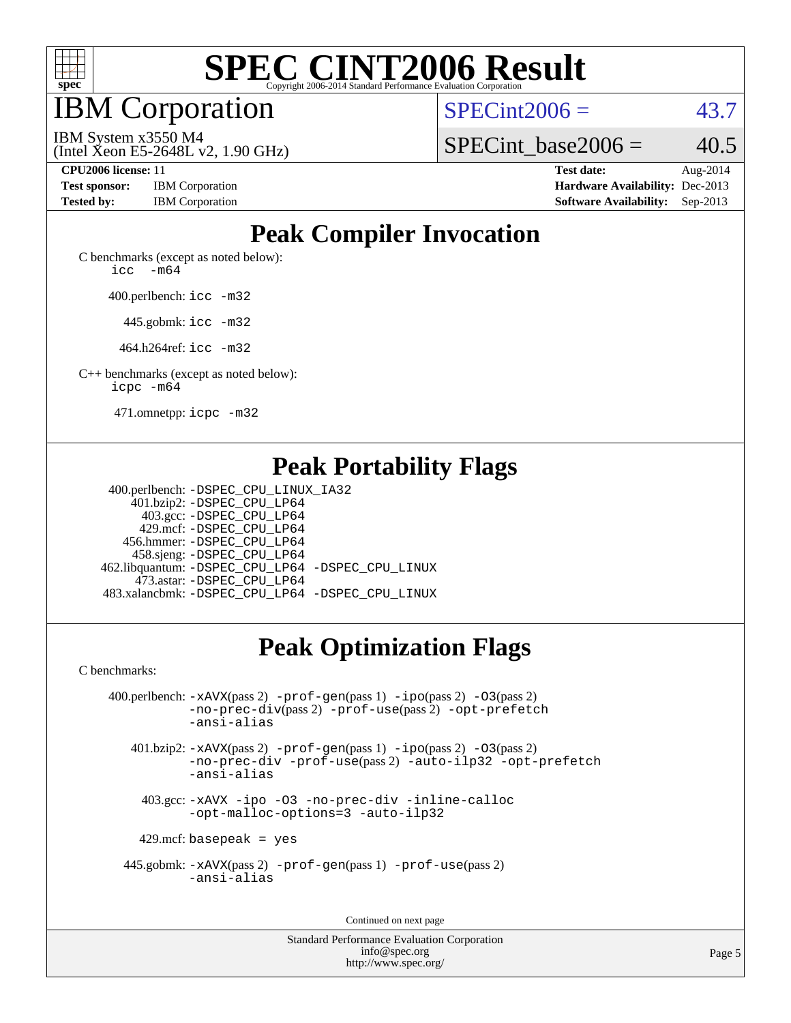

IBM Corporation

 $SPECint2006 = 43.7$  $SPECint2006 = 43.7$ 

(Intel Xeon E5-2648L v2, 1.90 GHz) IBM System x3550 M4

SPECint base2006 =  $40.5$ 

**[Test sponsor:](http://www.spec.org/auto/cpu2006/Docs/result-fields.html#Testsponsor)** IBM Corporation **[Hardware Availability:](http://www.spec.org/auto/cpu2006/Docs/result-fields.html#HardwareAvailability)** Dec-2013

**[CPU2006 license:](http://www.spec.org/auto/cpu2006/Docs/result-fields.html#CPU2006license)** 11 **[Test date:](http://www.spec.org/auto/cpu2006/Docs/result-fields.html#Testdate)** Aug-2014 **[Tested by:](http://www.spec.org/auto/cpu2006/Docs/result-fields.html#Testedby)** IBM Corporation **[Software Availability:](http://www.spec.org/auto/cpu2006/Docs/result-fields.html#SoftwareAvailability)** Sep-2013

### **[Peak Compiler Invocation](http://www.spec.org/auto/cpu2006/Docs/result-fields.html#PeakCompilerInvocation)**

[C benchmarks \(except as noted below\)](http://www.spec.org/auto/cpu2006/Docs/result-fields.html#Cbenchmarksexceptasnotedbelow): icc  $-m64$ 

400.perlbench: [icc -m32](http://www.spec.org/cpu2006/results/res2014q3/cpu2006-20140811-30905.flags.html#user_peakCCLD400_perlbench_intel_icc_a6a621f8d50482236b970c6ac5f55f93)

445.gobmk: [icc -m32](http://www.spec.org/cpu2006/results/res2014q3/cpu2006-20140811-30905.flags.html#user_peakCCLD445_gobmk_intel_icc_a6a621f8d50482236b970c6ac5f55f93)

464.h264ref: [icc -m32](http://www.spec.org/cpu2006/results/res2014q3/cpu2006-20140811-30905.flags.html#user_peakCCLD464_h264ref_intel_icc_a6a621f8d50482236b970c6ac5f55f93)

[C++ benchmarks \(except as noted below\):](http://www.spec.org/auto/cpu2006/Docs/result-fields.html#CXXbenchmarksexceptasnotedbelow) [icpc -m64](http://www.spec.org/cpu2006/results/res2014q3/cpu2006-20140811-30905.flags.html#user_CXXpeak_intel_icpc_64bit_fc66a5337ce925472a5c54ad6a0de310)

471.omnetpp: [icpc -m32](http://www.spec.org/cpu2006/results/res2014q3/cpu2006-20140811-30905.flags.html#user_peakCXXLD471_omnetpp_intel_icpc_4e5a5ef1a53fd332b3c49e69c3330699)

### **[Peak Portability Flags](http://www.spec.org/auto/cpu2006/Docs/result-fields.html#PeakPortabilityFlags)**

 400.perlbench: [-DSPEC\\_CPU\\_LINUX\\_IA32](http://www.spec.org/cpu2006/results/res2014q3/cpu2006-20140811-30905.flags.html#b400.perlbench_peakCPORTABILITY_DSPEC_CPU_LINUX_IA32) 401.bzip2: [-DSPEC\\_CPU\\_LP64](http://www.spec.org/cpu2006/results/res2014q3/cpu2006-20140811-30905.flags.html#suite_peakPORTABILITY401_bzip2_DSPEC_CPU_LP64) 403.gcc: [-DSPEC\\_CPU\\_LP64](http://www.spec.org/cpu2006/results/res2014q3/cpu2006-20140811-30905.flags.html#suite_peakPORTABILITY403_gcc_DSPEC_CPU_LP64) 429.mcf: [-DSPEC\\_CPU\\_LP64](http://www.spec.org/cpu2006/results/res2014q3/cpu2006-20140811-30905.flags.html#suite_peakPORTABILITY429_mcf_DSPEC_CPU_LP64) 456.hmmer: [-DSPEC\\_CPU\\_LP64](http://www.spec.org/cpu2006/results/res2014q3/cpu2006-20140811-30905.flags.html#suite_peakPORTABILITY456_hmmer_DSPEC_CPU_LP64) 458.sjeng: [-DSPEC\\_CPU\\_LP64](http://www.spec.org/cpu2006/results/res2014q3/cpu2006-20140811-30905.flags.html#suite_peakPORTABILITY458_sjeng_DSPEC_CPU_LP64) 462.libquantum: [-DSPEC\\_CPU\\_LP64](http://www.spec.org/cpu2006/results/res2014q3/cpu2006-20140811-30905.flags.html#suite_peakPORTABILITY462_libquantum_DSPEC_CPU_LP64) [-DSPEC\\_CPU\\_LINUX](http://www.spec.org/cpu2006/results/res2014q3/cpu2006-20140811-30905.flags.html#b462.libquantum_peakCPORTABILITY_DSPEC_CPU_LINUX) 473.astar: [-DSPEC\\_CPU\\_LP64](http://www.spec.org/cpu2006/results/res2014q3/cpu2006-20140811-30905.flags.html#suite_peakPORTABILITY473_astar_DSPEC_CPU_LP64) 483.xalancbmk: [-DSPEC\\_CPU\\_LP64](http://www.spec.org/cpu2006/results/res2014q3/cpu2006-20140811-30905.flags.html#suite_peakPORTABILITY483_xalancbmk_DSPEC_CPU_LP64) [-DSPEC\\_CPU\\_LINUX](http://www.spec.org/cpu2006/results/res2014q3/cpu2006-20140811-30905.flags.html#b483.xalancbmk_peakCXXPORTABILITY_DSPEC_CPU_LINUX)

## **[Peak Optimization Flags](http://www.spec.org/auto/cpu2006/Docs/result-fields.html#PeakOptimizationFlags)**

[C benchmarks](http://www.spec.org/auto/cpu2006/Docs/result-fields.html#Cbenchmarks):

 400.perlbench: [-xAVX](http://www.spec.org/cpu2006/results/res2014q3/cpu2006-20140811-30905.flags.html#user_peakPASS2_CFLAGSPASS2_LDCFLAGS400_perlbench_f-xAVX)(pass 2) [-prof-gen](http://www.spec.org/cpu2006/results/res2014q3/cpu2006-20140811-30905.flags.html#user_peakPASS1_CFLAGSPASS1_LDCFLAGS400_perlbench_prof_gen_e43856698f6ca7b7e442dfd80e94a8fc)(pass 1) [-ipo](http://www.spec.org/cpu2006/results/res2014q3/cpu2006-20140811-30905.flags.html#user_peakPASS2_CFLAGSPASS2_LDCFLAGS400_perlbench_f-ipo)(pass 2) [-O3](http://www.spec.org/cpu2006/results/res2014q3/cpu2006-20140811-30905.flags.html#user_peakPASS2_CFLAGSPASS2_LDCFLAGS400_perlbench_f-O3)(pass 2) [-no-prec-div](http://www.spec.org/cpu2006/results/res2014q3/cpu2006-20140811-30905.flags.html#user_peakPASS2_CFLAGSPASS2_LDCFLAGS400_perlbench_f-no-prec-div)(pass 2) [-prof-use](http://www.spec.org/cpu2006/results/res2014q3/cpu2006-20140811-30905.flags.html#user_peakPASS2_CFLAGSPASS2_LDCFLAGS400_perlbench_prof_use_bccf7792157ff70d64e32fe3e1250b55)(pass 2) [-opt-prefetch](http://www.spec.org/cpu2006/results/res2014q3/cpu2006-20140811-30905.flags.html#user_peakCOPTIMIZE400_perlbench_f-opt-prefetch) [-ansi-alias](http://www.spec.org/cpu2006/results/res2014q3/cpu2006-20140811-30905.flags.html#user_peakCOPTIMIZE400_perlbench_f-ansi-alias) 401.bzip2: [-xAVX](http://www.spec.org/cpu2006/results/res2014q3/cpu2006-20140811-30905.flags.html#user_peakPASS2_CFLAGSPASS2_LDCFLAGS401_bzip2_f-xAVX)(pass 2) [-prof-gen](http://www.spec.org/cpu2006/results/res2014q3/cpu2006-20140811-30905.flags.html#user_peakPASS1_CFLAGSPASS1_LDCFLAGS401_bzip2_prof_gen_e43856698f6ca7b7e442dfd80e94a8fc)(pass 1) [-ipo](http://www.spec.org/cpu2006/results/res2014q3/cpu2006-20140811-30905.flags.html#user_peakPASS2_CFLAGSPASS2_LDCFLAGS401_bzip2_f-ipo)(pass 2) [-O3](http://www.spec.org/cpu2006/results/res2014q3/cpu2006-20140811-30905.flags.html#user_peakPASS2_CFLAGSPASS2_LDCFLAGS401_bzip2_f-O3)(pass 2) [-no-prec-div](http://www.spec.org/cpu2006/results/res2014q3/cpu2006-20140811-30905.flags.html#user_peakCOPTIMIZEPASS2_CFLAGSPASS2_LDCFLAGS401_bzip2_f-no-prec-div) [-prof-use](http://www.spec.org/cpu2006/results/res2014q3/cpu2006-20140811-30905.flags.html#user_peakPASS2_CFLAGSPASS2_LDCFLAGS401_bzip2_prof_use_bccf7792157ff70d64e32fe3e1250b55)(pass 2) [-auto-ilp32](http://www.spec.org/cpu2006/results/res2014q3/cpu2006-20140811-30905.flags.html#user_peakCOPTIMIZE401_bzip2_f-auto-ilp32) [-opt-prefetch](http://www.spec.org/cpu2006/results/res2014q3/cpu2006-20140811-30905.flags.html#user_peakCOPTIMIZE401_bzip2_f-opt-prefetch) [-ansi-alias](http://www.spec.org/cpu2006/results/res2014q3/cpu2006-20140811-30905.flags.html#user_peakCOPTIMIZE401_bzip2_f-ansi-alias) 403.gcc: [-xAVX](http://www.spec.org/cpu2006/results/res2014q3/cpu2006-20140811-30905.flags.html#user_peakCOPTIMIZE403_gcc_f-xAVX) [-ipo](http://www.spec.org/cpu2006/results/res2014q3/cpu2006-20140811-30905.flags.html#user_peakCOPTIMIZE403_gcc_f-ipo) [-O3](http://www.spec.org/cpu2006/results/res2014q3/cpu2006-20140811-30905.flags.html#user_peakCOPTIMIZE403_gcc_f-O3) [-no-prec-div](http://www.spec.org/cpu2006/results/res2014q3/cpu2006-20140811-30905.flags.html#user_peakCOPTIMIZE403_gcc_f-no-prec-div) [-inline-calloc](http://www.spec.org/cpu2006/results/res2014q3/cpu2006-20140811-30905.flags.html#user_peakCOPTIMIZE403_gcc_f-inline-calloc)

[-opt-malloc-options=3](http://www.spec.org/cpu2006/results/res2014q3/cpu2006-20140811-30905.flags.html#user_peakCOPTIMIZE403_gcc_f-opt-malloc-options_13ab9b803cf986b4ee62f0a5998c2238) [-auto-ilp32](http://www.spec.org/cpu2006/results/res2014q3/cpu2006-20140811-30905.flags.html#user_peakCOPTIMIZE403_gcc_f-auto-ilp32)

 $429$ .mcf: basepeak = yes

 445.gobmk: [-xAVX](http://www.spec.org/cpu2006/results/res2014q3/cpu2006-20140811-30905.flags.html#user_peakPASS2_CFLAGSPASS2_LDCFLAGS445_gobmk_f-xAVX)(pass 2) [-prof-gen](http://www.spec.org/cpu2006/results/res2014q3/cpu2006-20140811-30905.flags.html#user_peakPASS1_CFLAGSPASS1_LDCFLAGS445_gobmk_prof_gen_e43856698f6ca7b7e442dfd80e94a8fc)(pass 1) [-prof-use](http://www.spec.org/cpu2006/results/res2014q3/cpu2006-20140811-30905.flags.html#user_peakPASS2_CFLAGSPASS2_LDCFLAGS445_gobmk_prof_use_bccf7792157ff70d64e32fe3e1250b55)(pass 2) [-ansi-alias](http://www.spec.org/cpu2006/results/res2014q3/cpu2006-20140811-30905.flags.html#user_peakCOPTIMIZE445_gobmk_f-ansi-alias)

Continued on next page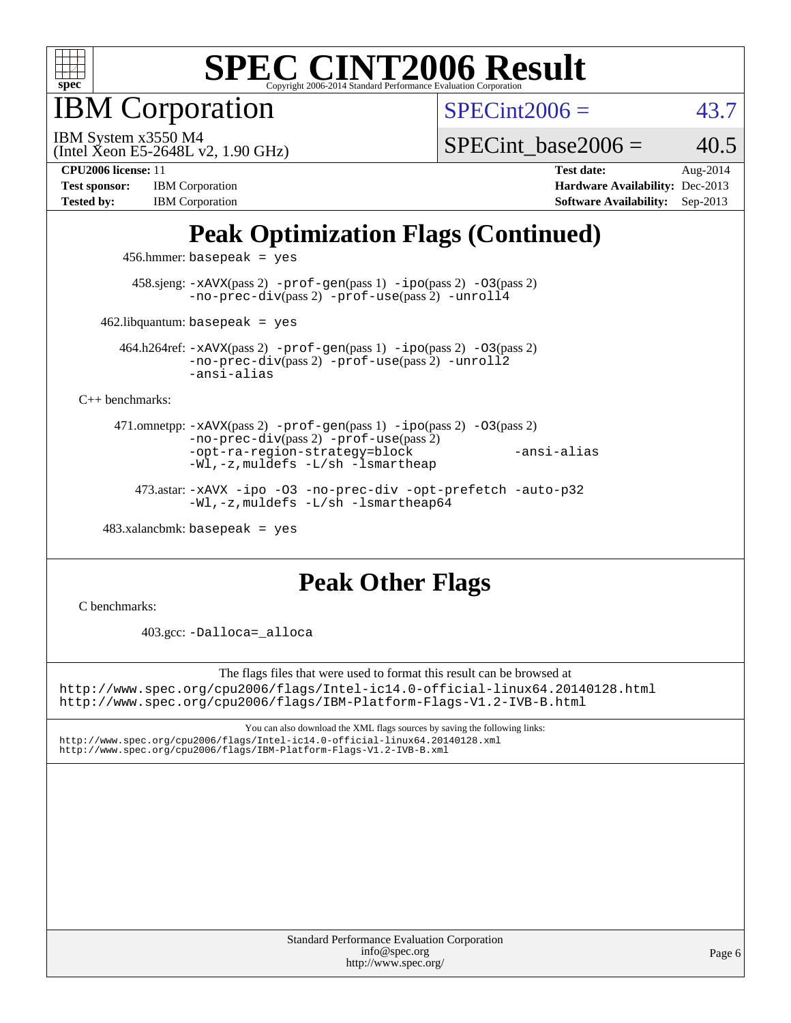

IBM Corporation

 $SPECint2006 = 43.7$  $SPECint2006 = 43.7$ 

(Intel Xeon E5-2648L v2, 1.90 GHz) IBM System x3550 M4

SPECint base2006 =  $40.5$ 

**[Test sponsor:](http://www.spec.org/auto/cpu2006/Docs/result-fields.html#Testsponsor)** IBM Corporation **[Hardware Availability:](http://www.spec.org/auto/cpu2006/Docs/result-fields.html#HardwareAvailability)** Dec-2013

**[CPU2006 license:](http://www.spec.org/auto/cpu2006/Docs/result-fields.html#CPU2006license)** 11 **[Test date:](http://www.spec.org/auto/cpu2006/Docs/result-fields.html#Testdate)** Aug-2014 [Tested by:](http://www.spec.org/auto/cpu2006/Docs/result-fields.html#Testedby) IBM Corporation **[Software Availability:](http://www.spec.org/auto/cpu2006/Docs/result-fields.html#SoftwareAvailability)** Sep-2013

## **[Peak Optimization Flags \(Continued\)](http://www.spec.org/auto/cpu2006/Docs/result-fields.html#PeakOptimizationFlags)**

456.hmmer: basepeak = yes

 458.sjeng: [-xAVX](http://www.spec.org/cpu2006/results/res2014q3/cpu2006-20140811-30905.flags.html#user_peakPASS2_CFLAGSPASS2_LDCFLAGS458_sjeng_f-xAVX)(pass 2) [-prof-gen](http://www.spec.org/cpu2006/results/res2014q3/cpu2006-20140811-30905.flags.html#user_peakPASS1_CFLAGSPASS1_LDCFLAGS458_sjeng_prof_gen_e43856698f6ca7b7e442dfd80e94a8fc)(pass 1) [-ipo](http://www.spec.org/cpu2006/results/res2014q3/cpu2006-20140811-30905.flags.html#user_peakPASS2_CFLAGSPASS2_LDCFLAGS458_sjeng_f-ipo)(pass 2) [-O3](http://www.spec.org/cpu2006/results/res2014q3/cpu2006-20140811-30905.flags.html#user_peakPASS2_CFLAGSPASS2_LDCFLAGS458_sjeng_f-O3)(pass 2) [-no-prec-div](http://www.spec.org/cpu2006/results/res2014q3/cpu2006-20140811-30905.flags.html#user_peakPASS2_CFLAGSPASS2_LDCFLAGS458_sjeng_f-no-prec-div)(pass 2) [-prof-use](http://www.spec.org/cpu2006/results/res2014q3/cpu2006-20140811-30905.flags.html#user_peakPASS2_CFLAGSPASS2_LDCFLAGS458_sjeng_prof_use_bccf7792157ff70d64e32fe3e1250b55)(pass 2) [-unroll4](http://www.spec.org/cpu2006/results/res2014q3/cpu2006-20140811-30905.flags.html#user_peakCOPTIMIZE458_sjeng_f-unroll_4e5e4ed65b7fd20bdcd365bec371b81f)

 $462$ .libquantum: basepeak = yes

 464.h264ref: [-xAVX](http://www.spec.org/cpu2006/results/res2014q3/cpu2006-20140811-30905.flags.html#user_peakPASS2_CFLAGSPASS2_LDCFLAGS464_h264ref_f-xAVX)(pass 2) [-prof-gen](http://www.spec.org/cpu2006/results/res2014q3/cpu2006-20140811-30905.flags.html#user_peakPASS1_CFLAGSPASS1_LDCFLAGS464_h264ref_prof_gen_e43856698f6ca7b7e442dfd80e94a8fc)(pass 1) [-ipo](http://www.spec.org/cpu2006/results/res2014q3/cpu2006-20140811-30905.flags.html#user_peakPASS2_CFLAGSPASS2_LDCFLAGS464_h264ref_f-ipo)(pass 2) [-O3](http://www.spec.org/cpu2006/results/res2014q3/cpu2006-20140811-30905.flags.html#user_peakPASS2_CFLAGSPASS2_LDCFLAGS464_h264ref_f-O3)(pass 2) [-no-prec-div](http://www.spec.org/cpu2006/results/res2014q3/cpu2006-20140811-30905.flags.html#user_peakPASS2_CFLAGSPASS2_LDCFLAGS464_h264ref_f-no-prec-div)(pass 2) [-prof-use](http://www.spec.org/cpu2006/results/res2014q3/cpu2006-20140811-30905.flags.html#user_peakPASS2_CFLAGSPASS2_LDCFLAGS464_h264ref_prof_use_bccf7792157ff70d64e32fe3e1250b55)(pass 2) [-unroll2](http://www.spec.org/cpu2006/results/res2014q3/cpu2006-20140811-30905.flags.html#user_peakCOPTIMIZE464_h264ref_f-unroll_784dae83bebfb236979b41d2422d7ec2) [-ansi-alias](http://www.spec.org/cpu2006/results/res2014q3/cpu2006-20140811-30905.flags.html#user_peakCOPTIMIZE464_h264ref_f-ansi-alias)

[C++ benchmarks:](http://www.spec.org/auto/cpu2006/Docs/result-fields.html#CXXbenchmarks)

 471.omnetpp: [-xAVX](http://www.spec.org/cpu2006/results/res2014q3/cpu2006-20140811-30905.flags.html#user_peakPASS2_CXXFLAGSPASS2_LDCXXFLAGS471_omnetpp_f-xAVX)(pass 2) [-prof-gen](http://www.spec.org/cpu2006/results/res2014q3/cpu2006-20140811-30905.flags.html#user_peakPASS1_CXXFLAGSPASS1_LDCXXFLAGS471_omnetpp_prof_gen_e43856698f6ca7b7e442dfd80e94a8fc)(pass 1) [-ipo](http://www.spec.org/cpu2006/results/res2014q3/cpu2006-20140811-30905.flags.html#user_peakPASS2_CXXFLAGSPASS2_LDCXXFLAGS471_omnetpp_f-ipo)(pass 2) [-O3](http://www.spec.org/cpu2006/results/res2014q3/cpu2006-20140811-30905.flags.html#user_peakPASS2_CXXFLAGSPASS2_LDCXXFLAGS471_omnetpp_f-O3)(pass 2) [-no-prec-div](http://www.spec.org/cpu2006/results/res2014q3/cpu2006-20140811-30905.flags.html#user_peakPASS2_CXXFLAGSPASS2_LDCXXFLAGS471_omnetpp_f-no-prec-div)(pass 2) [-prof-use](http://www.spec.org/cpu2006/results/res2014q3/cpu2006-20140811-30905.flags.html#user_peakPASS2_CXXFLAGSPASS2_LDCXXFLAGS471_omnetpp_prof_use_bccf7792157ff70d64e32fe3e1250b55)(pass 2) [-opt-ra-region-strategy=block](http://www.spec.org/cpu2006/results/res2014q3/cpu2006-20140811-30905.flags.html#user_peakCXXOPTIMIZE471_omnetpp_f-opt-ra-region-strategy_5382940c29ea30302d682fc74bfe0147) [-ansi-alias](http://www.spec.org/cpu2006/results/res2014q3/cpu2006-20140811-30905.flags.html#user_peakCXXOPTIMIZE471_omnetpp_f-ansi-alias) [-Wl,-z,muldefs](http://www.spec.org/cpu2006/results/res2014q3/cpu2006-20140811-30905.flags.html#user_peakEXTRA_LDFLAGS471_omnetpp_link_force_multiple1_74079c344b956b9658436fd1b6dd3a8a) [-L/sh -lsmartheap](http://www.spec.org/cpu2006/results/res2014q3/cpu2006-20140811-30905.flags.html#user_peakEXTRA_LIBS471_omnetpp_SmartHeap_32f6c82aa1ed9c52345d30cf6e4a0499)

 473.astar: [-xAVX](http://www.spec.org/cpu2006/results/res2014q3/cpu2006-20140811-30905.flags.html#user_peakCXXOPTIMIZE473_astar_f-xAVX) [-ipo](http://www.spec.org/cpu2006/results/res2014q3/cpu2006-20140811-30905.flags.html#user_peakCXXOPTIMIZE473_astar_f-ipo) [-O3](http://www.spec.org/cpu2006/results/res2014q3/cpu2006-20140811-30905.flags.html#user_peakCXXOPTIMIZE473_astar_f-O3) [-no-prec-div](http://www.spec.org/cpu2006/results/res2014q3/cpu2006-20140811-30905.flags.html#user_peakCXXOPTIMIZE473_astar_f-no-prec-div) [-opt-prefetch](http://www.spec.org/cpu2006/results/res2014q3/cpu2006-20140811-30905.flags.html#user_peakCXXOPTIMIZE473_astar_f-opt-prefetch) [-auto-p32](http://www.spec.org/cpu2006/results/res2014q3/cpu2006-20140811-30905.flags.html#user_peakCXXOPTIMIZE473_astar_f-auto-p32) [-Wl,-z,muldefs](http://www.spec.org/cpu2006/results/res2014q3/cpu2006-20140811-30905.flags.html#user_peakEXTRA_LDFLAGS473_astar_link_force_multiple1_74079c344b956b9658436fd1b6dd3a8a) [-L/sh -lsmartheap64](http://www.spec.org/cpu2006/results/res2014q3/cpu2006-20140811-30905.flags.html#user_peakEXTRA_LIBS473_astar_SmartHeap64_ed4ef857ce90951921efb0d91eb88472)

 $483.xalanchmk: basepeak = yes$ 

### **[Peak Other Flags](http://www.spec.org/auto/cpu2006/Docs/result-fields.html#PeakOtherFlags)**

[C benchmarks](http://www.spec.org/auto/cpu2006/Docs/result-fields.html#Cbenchmarks):

403.gcc: [-Dalloca=\\_alloca](http://www.spec.org/cpu2006/results/res2014q3/cpu2006-20140811-30905.flags.html#b403.gcc_peakEXTRA_CFLAGS_Dalloca_be3056838c12de2578596ca5467af7f3)

The flags files that were used to format this result can be browsed at <http://www.spec.org/cpu2006/flags/Intel-ic14.0-official-linux64.20140128.html> <http://www.spec.org/cpu2006/flags/IBM-Platform-Flags-V1.2-IVB-B.html>

You can also download the XML flags sources by saving the following links: <http://www.spec.org/cpu2006/flags/Intel-ic14.0-official-linux64.20140128.xml> <http://www.spec.org/cpu2006/flags/IBM-Platform-Flags-V1.2-IVB-B.xml>